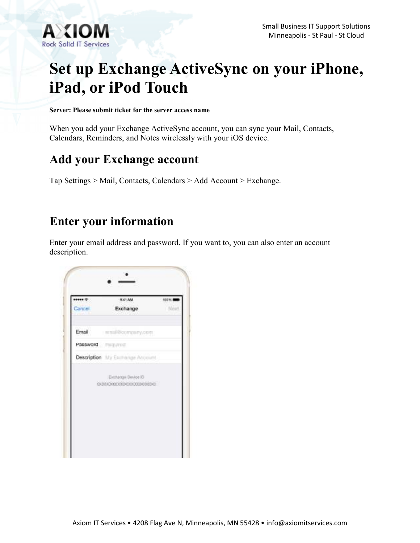

# **Set up Exchange ActiveSync on your iPhone, iPad, or iPod Touch**

**Server: Please submit ticket for the server access name**

When you add your Exchange ActiveSync account, you can sync your Mail, Contacts, Calendars, Reminders, and Notes wirelessly with your iOS device.

### **Add your Exchange account**

Tap Settings > Mail, Contacts, Calendars > Add Account > Exchange.

### **Enter your information**

Enter your email address and password. If you want to, you can also enter an account description.

| was +<br>Cancel.        | 9:41 AM                                          | 100%<br>16mm |
|-------------------------|--------------------------------------------------|--------------|
|                         | Exchange                                         |              |
|                         | Email amail@company.com                          |              |
| Password <b>Figured</b> |                                                  |              |
|                         | Description My Electronge Account                |              |
|                         | Extraoge Device ID<br>08000000000000000000000000 |              |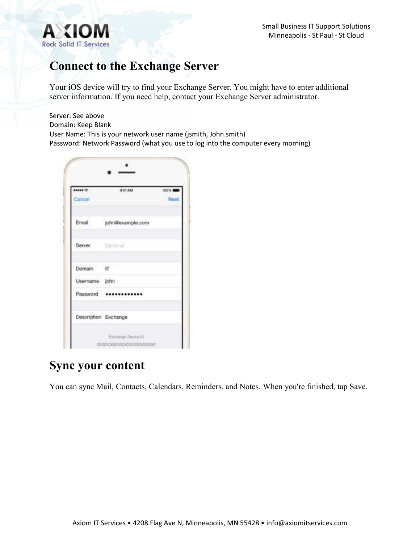

## **Connect to the Exchange Server**

Your iOS device will try to find your Exchange Server. You might have to enter additional server information. If you need help, contact your Exchange Server administrator.

Server: See above Domain: Keep Blank User Name: This is your network user name (jsmith, John.smith) Password: Network Password (what you use to log into the computer every morning)

| ******<br>Cancel     | <b>BAS AM</b>         | 100% M<br>Next |
|----------------------|-----------------------|----------------|
| Email                | john@example.com      |                |
| Server Optional      |                       |                |
| Domain iT            |                       |                |
| Username john        |                       |                |
|                      | Password ************ |                |
| Description Exchange |                       |                |

#### **Sync your content**

You can sync Mail, Contacts, Calendars, Reminders, and Notes. When you're finished, tap Save.